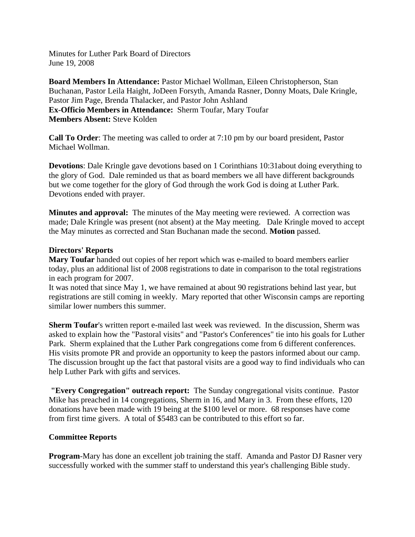Minutes for Luther Park Board of Directors June 19, 2008

**Board Members In Attendance:** Pastor Michael Wollman, Eileen Christopherson, Stan Buchanan, Pastor Leila Haight, JoDeen Forsyth, Amanda Rasner, Donny Moats, Dale Kringle, Pastor Jim Page, Brenda Thalacker, and Pastor John Ashland **Ex-Officio Members in Attendance:** Sherm Toufar, Mary Toufar **Members Absent:** Steve Kolden

**Call To Order**: The meeting was called to order at 7:10 pm by our board president, Pastor Michael Wollman.

**Devotions**: Dale Kringle gave devotions based on 1 Corinthians 10:31 about doing everything to the glory of God. Dale reminded us that as board members we all have different backgrounds but we come together for the glory of God through the work God is doing at Luther Park. Devotions ended with prayer.

**Minutes and approval:** The minutes of the May meeting were reviewed. A correction was made; Dale Kringle was present (not absent) at the May meeting. Dale Kringle moved to accept the May minutes as corrected and Stan Buchanan made the second. **Motion** passed.

# **Directors' Reports**

**Mary Toufar** handed out copies of her report which was e-mailed to board members earlier today, plus an additional list of 2008 registrations to date in comparison to the total registrations in each program for 2007.

It was noted that since May 1, we have remained at about 90 registrations behind last year, but registrations are still coming in weekly. Mary reported that other Wisconsin camps are reporting similar lower numbers this summer.

**Sherm Toufar**'s written report e-mailed last week was reviewed. In the discussion, Sherm was asked to explain how the "Pastoral visits" and "Pastor's Conferences" tie into his goals for Luther Park. Sherm explained that the Luther Park congregations come from 6 different conferences. His visits promote PR and provide an opportunity to keep the pastors informed about our camp. The discussion brought up the fact that pastoral visits are a good way to find individuals who can help Luther Park with gifts and services.

**"Every Congregation" outreach report:** The Sunday congregational visits continue. Pastor Mike has preached in 14 congregations, Sherm in 16, and Mary in 3. From these efforts, 120 donations have been made with 19 being at the \$100 level or more. 68 responses have come from first time givers. A total of \$5483 can be contributed to this effort so far.

# **Committee Reports**

**Program-Mary** has done an excellent job training the staff. Amanda and Pastor DJ Rasner very successfully worked with the summer staff to understand this year's challenging Bible study.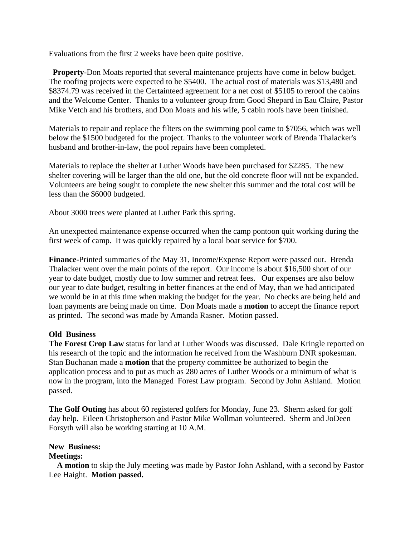Evaluations from the first 2 weeks have been quite positive.

 **Property**-Don Moats reported that several maintenance projects have come in below budget. The roofing projects were expected to be \$5400. The actual cost of materials was \$13,480 and \$8374.79 was received in the Certainteed agreement for a net cost of \$5105 to reroof the cabins and the Welcome Center. Thanks to a volunteer group from Good Shepard in Eau Claire, Pastor Mike Vetch and his brothers, and Don Moats and his wife, 5 cabin roofs have been finished.

Materials to repair and replace the filters on the swimming pool came to \$7056, which was well below the \$1500 budgeted for the project. Thanks to the volunteer work of Brenda Thalacker's husband and brother-in-law, the pool repairs have been completed.

Materials to replace the shelter at Luther Woods have been purchased for \$2285. The new shelter covering will be larger than the old one, but the old concrete floor will not be expanded. Volunteers are being sought to complete the new shelter this summer and the total cost will be less than the \$6000 budgeted.

About 3000 trees were planted at Luther Park this spring.

An unexpected maintenance expense occurred when the camp pontoon quit working during the first week of camp. It was quickly repaired by a local boat service for \$700.

**Finance**-Printed summaries of the May 31, Income/Expense Report were passed out. Brenda Thalacker went over the main points of the report. Our income is about \$16,500 short of our year to date budget, mostly due to low summer and retreat fees. Our expenses are also below our year to date budget, resulting in better finances at the end of May, than we had anticipated we would be in at this time when making the budget for the year. No checks are being held and loan payments are being made on time. Don Moats made a **motion** to accept the finance report as printed. The second was made by Amanda Rasner. Motion passed.

# **Old Business**

**The Forest Crop Law** status for land at Luther Woods was discussed. Dale Kringle reported on his research of the topic and the information he received from the Washburn DNR spokesman. Stan Buchanan made a **motion** that the property committee be authorized to begin the application process and to put as much as 280 acres of Luther Woods or a minimum of what is now in the program, into the Managed Forest Law program. Second by John Ashland. Motion passed.

**The Golf Outing** has about 60 registered golfers for Monday, June 23. Sherm asked for golf day help. Eileen Christopherson and Pastor Mike Wollman volunteered. Sherm and JoDeen Forsyth will also be working starting at 10 A.M.

**New Business:** 

### **Meetings:**

 **A motion** to skip the July meeting was made by Pastor John Ashland, with a second by Pastor Lee Haight. **Motion passed.**